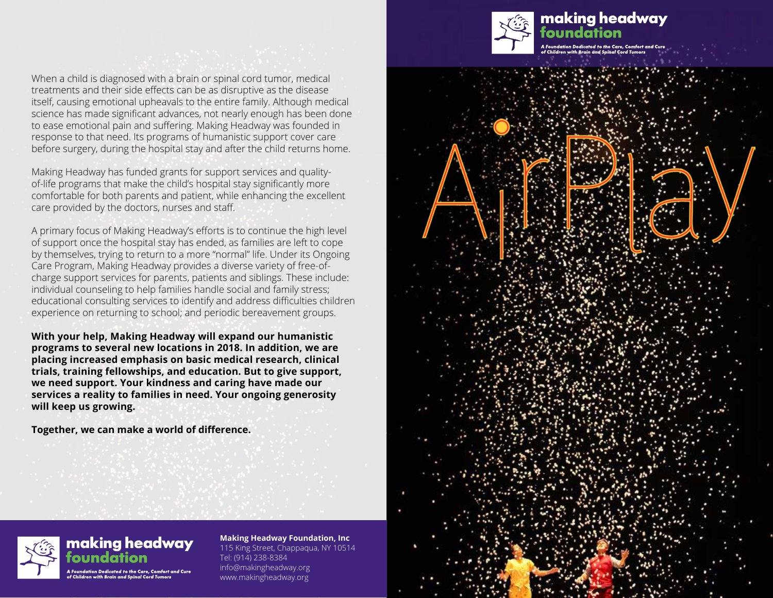

# making headway

When a child is diagnosed with a brain or spinal cord tumor, medical treatments and their side effects can be as disruptive as the disease itself, causing emotional upheavals to the entire family. Although medical science has made significant advances, not nearly enough has been done to ease emotional pain and suffering. Making Headway was founded in response to that need. Its programs of humanistic support cover care before surgery, during the hospital stay and after the child returns home.

Making Headway has funded grants for support services and qualityof-life programs that make the child's hospital stay significantly more comfortable for both parents and patient, while enhancing the excellent care provided by the doctors, nurses and staff.

A primary focus of Making Headway's efforts is to continue the high level of support once the hospital stay has ended, as families are left to cope by themselves, trying to return to a more "normal" life. Under its Ongoing Care Program, Making Headway provides a diverse variety of free-ofcharge support services for parents, patients and siblings. These include: individual counseling to help families handle social and family stress; educational consulting services to identify and address difficulties children experience on returning to school; and periodic bereavement groups.

**With your help, Making Headway will expand our humanistic programs to several new locations in 2018. In addition, we are placing increased emphasis on basic medical research, clinical trials, training fellowships, and education. But to give support, we need support. Your kindness and caring have made our services a reality to families in need. Your ongoing generosity will keep us growing.**

**Together, we can make a world of difference.**





**Making Headway Foundation, Inc** 115 King Street, Chappaqua, NY 10514 Tel: (914) 238-8384 info@makingheadway.org www.makingheadway.org